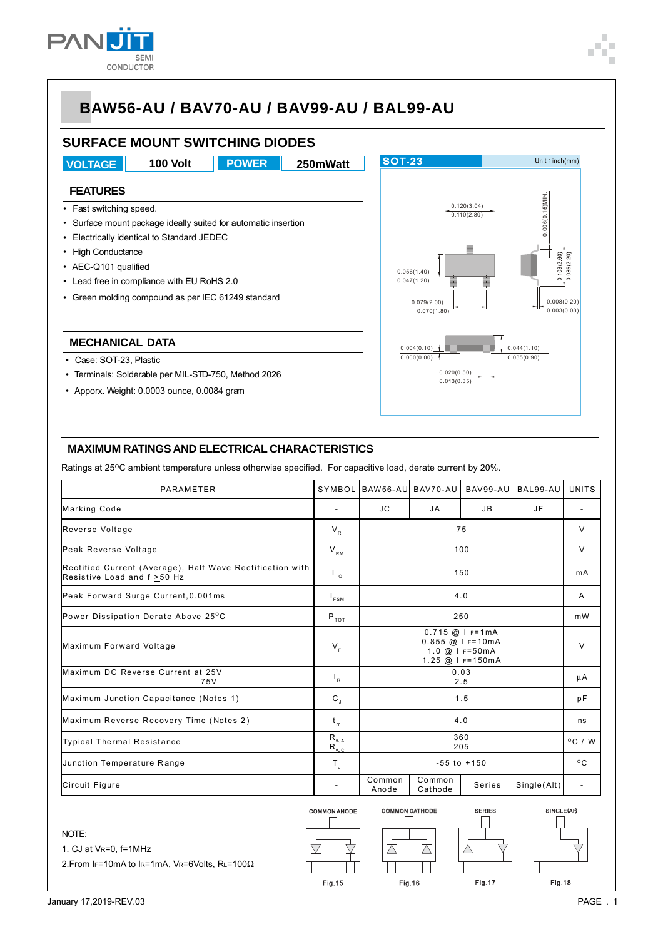

# **BAW56-AU / BAV70-AU / BAV99-AU / BAL99-AU**

### **SURFACE MOUNT SWITCHING DIODES**

**VOLTAGE 100 Volt POWER 250mWatt POWER**

#### **FEATURES**

- Fast switching speed.
- Surface mount package ideally suited for automatic insertion
- Electrically identical to Standard JEDEC
- High Conductance
- AEC-Q101 qualified
- Lead free in compliance with EU RoHS 2.0
- Green molding compound as per IEC 61249 standard

#### **MECHANICAL DATA**

- Case: SOT-23, Plastic
- Terminals: Solderable per MIL-STD-750, Method 2026
- Apporx. Weight: 0.0003 ounce, 0.0084 gram



#### **MAXIMUM RATINGS AND ELECTRICAL CHARACTERISTICS**

Ratings at 25°C ambient temperature unless otherwise specified. For capacitive load, derate current by 20%.

| <b>PARAMETER</b>                                                                               | SYMBOL                                                                   |                                                                               | BAW56-AU BAV70-AU | BAV99-AU | BAL99-AU    | UNITS                    |
|------------------------------------------------------------------------------------------------|--------------------------------------------------------------------------|-------------------------------------------------------------------------------|-------------------|----------|-------------|--------------------------|
| Marking Code                                                                                   | $\overline{\phantom{a}}$                                                 | JC.                                                                           | JA                | JB       | JF          |                          |
| Reverse Voltage                                                                                | $V_R$                                                                    | 75                                                                            |                   |          |             | $\vee$                   |
| Peak Reverse Voltage                                                                           | $V_{\rm RM}$                                                             | 100                                                                           |                   |          |             | $\vee$                   |
| Rectified Current (Average), Half Wave Rectification with<br>Resistive Load and $f \geq 50$ Hz | $\mathsf{L}_{\circ}$                                                     | 150                                                                           |                   |          |             | mA                       |
| Peak Forward Surge Current, 0.001ms                                                            | $I_{FSM}$                                                                | 4.0                                                                           |                   |          |             | A                        |
| Power Dissipation Derate Above 25°C                                                            | $P_{\tau \circ \tau}$                                                    | 250                                                                           |                   |          |             | mW                       |
| Maximum Forward Voltage                                                                        | $V_F$                                                                    | $0.715$ @ I F=1mA<br>$0.855$ @ I F=10mA<br>1.0 @ I F=50mA<br>1.25 @ I F=150mA |                   |          |             | $\vee$                   |
| Maximum DC Reverse Current at 25V<br>75V                                                       | $I_R$                                                                    | 0.03<br>2.5                                                                   |                   |          |             | μA                       |
| Maximum Junction Capacitance (Notes 1)                                                         | $C_{\rm J}$                                                              | 1.5                                                                           |                   |          |             | рF                       |
| Maximum Reverse Recovery Time (Notes 2)                                                        | $t_{rr}$                                                                 | 4.0                                                                           |                   |          |             | ns                       |
| Typical Thermal Resistance                                                                     | $\mathsf{R}_{\scriptscriptstyle{\theta\mathsf{JA}}}$<br>$R_{\text{eJC}}$ | 360<br>205                                                                    |                   |          |             | $^{\circ}$ C / W         |
| Junction Temperature Range                                                                     | $\mathsf{T}_{\mathsf{J}}$                                                | $-55$ to $+150$                                                               |                   |          |             | $^{\circ}$ C             |
| Circuit Figure                                                                                 |                                                                          | Common<br>Anode                                                               | Common<br>Cathode | Series   | Single(Alt) | $\overline{\phantom{a}}$ |

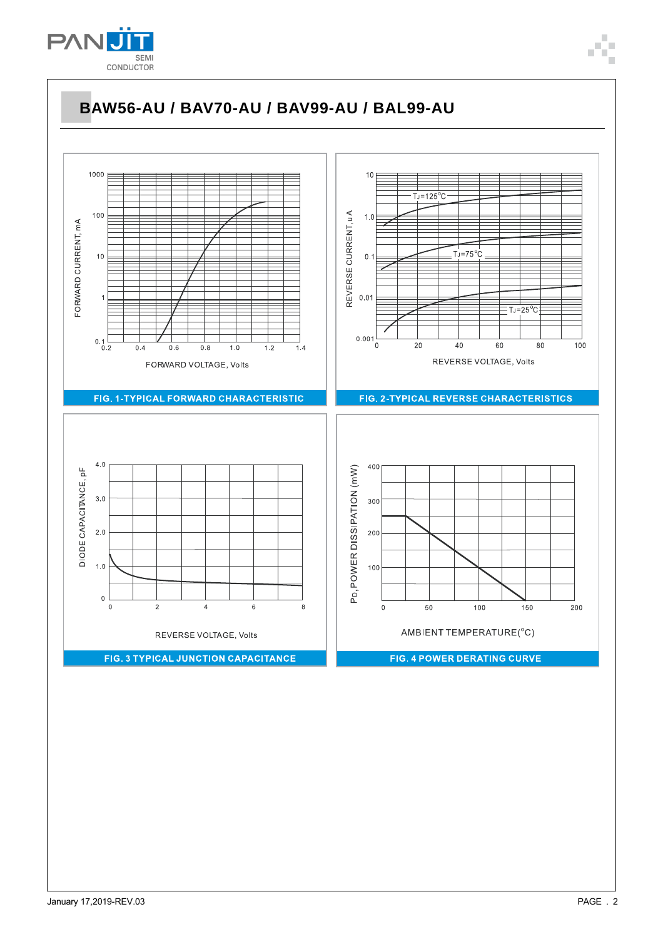

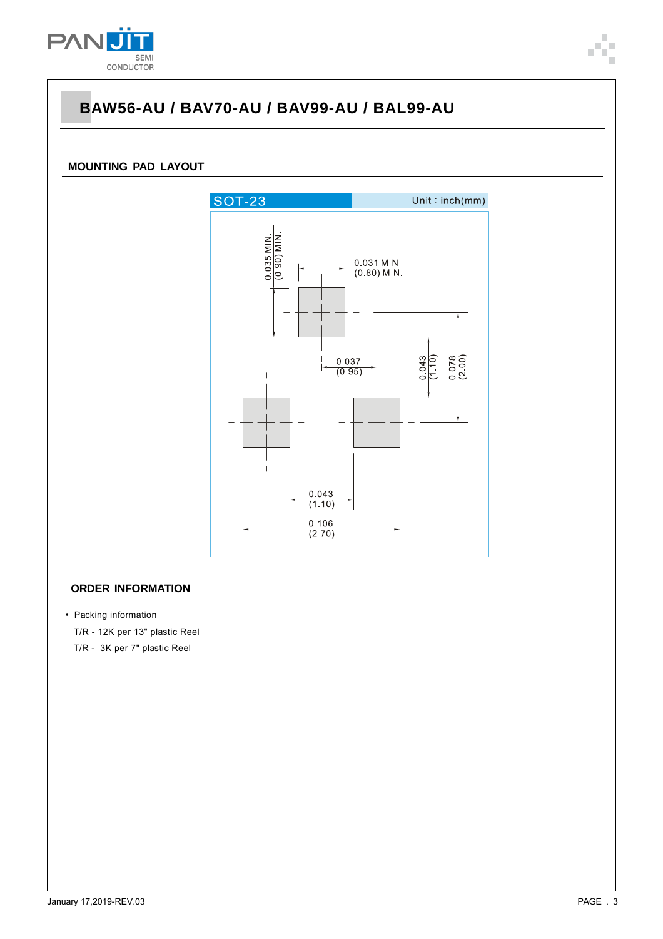

# **BAW56-AU / BAV70-AU / BAV99-AU / BAL99-AU**

### **MOUNTING PAD LAYOUT**



### **ORDER INFORMATION**

• Packing information

T/R - 12K per 13" plastic Reel

T/R - 3K per 7" plastic Reel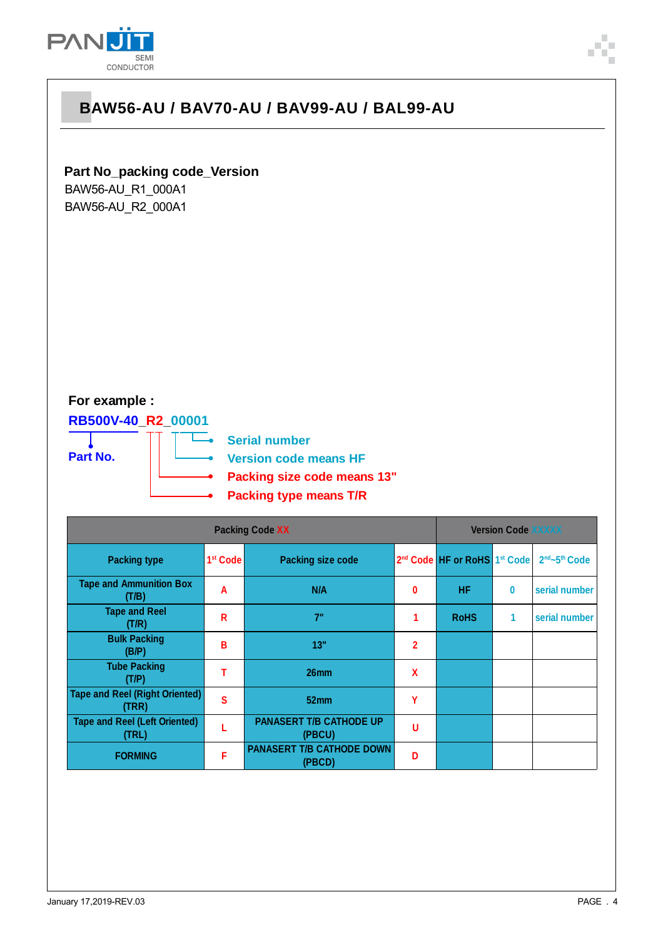